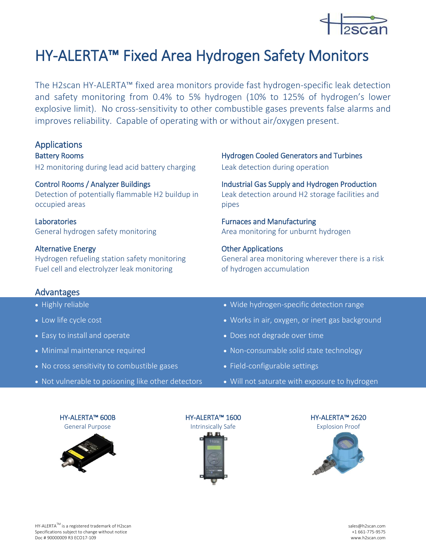

## HY-ALERTA™ Fixed Area Hydrogen Safety Monitors

The H2scan HY-ALERTA™ fixed area monitors provide fast hydrogen-specific leak detection and safety monitoring from 0.4% to 5% hydrogen (10% to 125% of hydrogen's lower explosive limit). No cross-sensitivity to other combustible gases prevents false alarms and improves reliability. Capable of operating with or without air/oxygen present.

# **Applications**

H2 monitoring during lead acid battery charging Leak detection during operation

Detection of potentially flammable H2 buildup in occupied areas

Laboratories **Fundal** European Furnaces and Manufacturing

### Alternative Energy **Alternative Energy CHEC Other Applications**

Hydrogen refueling station safety monitoring Fuel cell and electrolyzer leak monitoring

### Advantages

- 
- 
- 
- 
- No cross sensitivity to combustible gases Field-configurable settings
- Not vulnerable to poisoning like other detectors Will not saturate with exposure to hydrogen

Battery Rooms **Exercise Exercise Engineering Cooled Generators and Turbines** 

Control Rooms / Analyzer Buildings Industrial Gas Supply and Hydrogen Production Leak detection around H2 storage facilities and pipes

General hydrogen safety monitoring **Area monitoring for unburnt hydrogen** 

General area monitoring wherever there is a risk of hydrogen accumulation

- Highly reliable **Wide hydrogen-specific detection range**
- Low life cycle cost **Works in air, oxygen, or inert gas background**
- Easy to install and operate **Does 1998** and  $\bullet$  Does not degrade over time
- Minimal maintenance required **and the selection of the Non-consumable solid state technology** 
	-
	-

HY-ALERTA™ 600B General Purpose





HY-ALERTA™ 1600 Intrinsically Safe